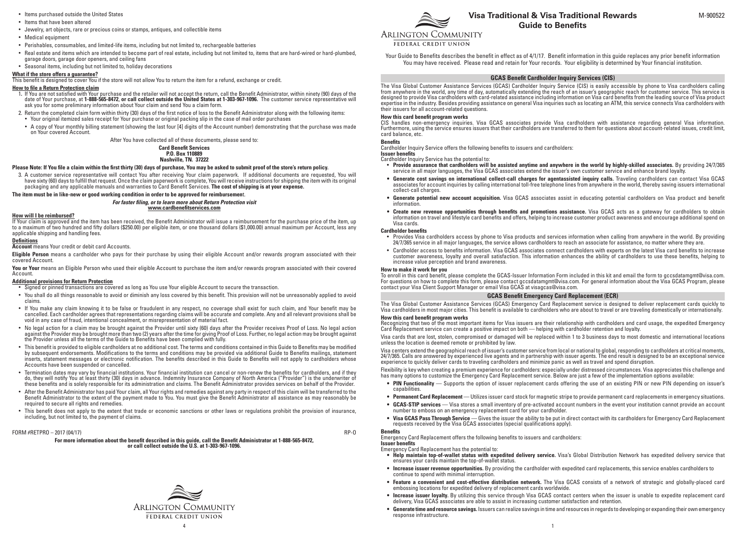- • Items purchased outside the United States
- • Items that have been altered
- • Jewelry, art objects, rare or precious coins or stamps, antiques, and collectible items
- • Medical equipment
- • Perishables, consumables, and limited-life items, including but not limited to, rechargeable batteries
- • Real estate and items which are intended to become part of real estate, including but not limited to, items that are hard-wired or hard-plumbed, garage doors, garage door openers, and ceiling fans
- • Seasonal items, including but not limited to, holiday decorations

## **What if the store offers a guarantee?**

This benefit is designed to cover You if the store will not allow You to return the item for a refund, exchange or credit.

## **How to file a Return Protection claim**

- You are not satisfied with Your purchase and the retailer will not accept the return, call the Benefit Administrator, within ninety (90) days of the date of Your purchase, at **1-888-565-8472**, **or call collect outside the United States at 1-303-967-1096.** The customer service representative will ask you for some preliminary information about Your claim and send You a claim form.
- 2. Return the completed claim form within thirty (30) days of the first notice of loss to the Benefit Administrator along with the following items: • Your original itemized sales receipt for Your purchase or original packing slip in the case of mail order purchases
- • A copy of Your monthly billing statement (showing the last four [4] digits of the Account number) demonstrating that the purchase was made on Your covered Account.

After You have collected all of these documents, please send to:

**Card Benefit Services P.O. Box 110889 Nashville, TN. 37222**

## **Please Note: If You file a claim within the first thirty (30) days of purchase, You may be asked to submit proof of the store's return policy.**

3. A customer service representative will contact You after receiving Your claim paperwork. If additional documents are requested, You will have sixty (60) days to fulfill that request. Once the claim paperwork is complete, You will receive instructions for shipping the item with its original packaging and any applicable manuals and warranties to Card Benefit Services. **The cost of shipping is at your expense.** 

**The item must be in like-new or good working condition in order to be approved for reimbursemen**t.

*For faster filing, or to learn more about Return Protection visit* **www.cardbenefitservices.com**

## **How will I be reimbursed?**

If Your claim is approved and the item has been received, the Benefit Administrator will issue a reimbursement for the purchase price of the item, up to a maximum of two hundred and fifty dollars (\$250.00) per eligible item, or one thousand dollars (\$1,000.00) annual maximum per Account, less any applicable shipping and handling fees.

#### **Definitions**

**Account** means Your credit or debit card Accounts.

**Eligible Person** means a cardholder who pays for their purchase by using their eligible Account and/or rewards program associated with their covered Account.

You or Your means an Eligible Person who used their eligible Account to purchase the item and/or rewards program associated with their covered Account.

## **Additional provisions for Return Protection**

 • Signed or pinned transactions are covered as long as You use Your eligible Account to secure the transaction.

- • You shall do all things reasonable to avoid or diminish any loss covered by this benefit. This provision will not be unreasonably applied to avoid claims.
- • If You make any claim knowing it to be false or fraudulent in any respect, no coverage shall exist for such claim, and Your benefit may be cancelled. Each cardholder agrees that representations regarding claims will be accurate and complete. Any and all relevant provisions shall be void in any case of fraud, intentional concealment, or misrepresentation of material fact.
- No legal action for a claim may be brought against the Provider until sixty (60) days after the Provider receives Proof of Loss. No legal action<br>against the Provider may be brought more than two (2) years after the time
- • This benefit is provided to eligible cardholders at no additional cost. The terms and conditions contained in this Guide to Benefits may be modified by subsequent endorsements. Modifications to the terms and conditions may be provided via additional Guide to Benefits mailings, statement inserts, statement messages or electronic notification. The benefits described in this Guide to Benefits will not apply to cardholders whose Accounts have been suspended or cancelled.
- $\cdot$  Termination dates may vary by financial institutions. Your financial institution can cancel or non-renew the benefits for cardholders, and if they do, they will notify You at least thirty (30) days in advance. Indemnity Insurance Company of North America ("Provider") is the underwriter of these benefits and is solely responsible for its administration and claims. The Benefit Administrator provides services on behalf of the Provider.
- • After the Benefit Administrator has paid Your claim, all Your rights and remedies against any party in respect of this claim will be transferred to the Benefit Administrator to the extent of the payment made to You. You must give the Benefit Administrator all assistance as may reasonably be required to secure all rights and remedies.
- This benefit does not apply to the extent that trade or economic sanctions or other laws or regulations prohibit the provision of insurance, including, but not limited to, the payment of claims.

#### FORM #RETPRO – 2017 (04/17) RP-O

**For more information about the benefit described in this guide, call the Benefit Administrator at 1-888-565-8472, or call collect outside the U.S. at 1-303-967-1096.**







# **ARLINGTON COMMUNITY**

FEDERAL CREDIT UNION

Your Guide to Benefits describes the benefit in effect as of 4/1/17. Benefit information in this guide replaces any prior benefit information You may have received. Please read and retain for Your records. Your eligibility is determined by Your financial institution.

# **GCAS Benefit Cardholder Inquiry Services (CIS)**

The Visa Global Customer Assistance Services (GCAS) Cardholder Inquiry Service (CIS) is easily accessible by phone to Visa cardholders calling from anywhere in the world, any time of day, automatically extending the reach of an issuer's geographic reach for customer service. This service is designed to provide Visa cardholders with card-related assistance including information on Visa card benefits from the leading source of Visa product expertise in the industry. Besides providing assistance on general Visa inquiries such as locating an ATM, this service connects Visa cardholders with their issuers for all account-related questions.

### **How this card benefit program works**

CIS handles non-emergency inquiries. Visa GCAS associates provide Visa cardholders with assistance regarding general Visa information. Furthermore, using the service ensures issuers that their cardholders are transferred to them for questions about account-related issues, credit limit, card balance, etc.

## **Benefits**

Cardholder Inquiry Service offers the following benefits to issuers and cardholders:

**Issuer benefits**

Cardholder Inquiry Service has the potential to:

- **Provide assurance that cardholders will be assisted anytime and anywhere in the world by highly-skilled associates.** By providing 24/7/365 service in all major languages, the Visa GCAS associates extend the issuer's own customer service and enhance brand loyalty.
- **• Generate cost savings on international collect-call charges for agentassisted inquiry calls.** Traveling cardholders can contact Visa GCAS associates for account inquiries by calling international toll-free telephone lines from anywhere in the world, thereby saving issuers international collect-call charges.
- **• Generate potential new account acquisition.** Visa GCAS associates assist in educating potential cardholders on Visa product and benefit information.
- **• Create new revenue opportunities through benefits and promotions assistance.** Visa GCAS acts as a gateway for cardholders to obtain information on travel and lifestyle card benefits and offers, helping to increase customer product awareness and encourage additional spend on Visa cards.

- Cardholder benefits<br>• Provides Visa cardholders access by phone to Visa products and services information when calling from anywhere in the world. By providing<br>24/7/365 service in all major languages, the service allows ca
- Cardholder access to benefits information. Visa GCAS associates connect cardholders with experts on the latest Visa card benefits to increase customer awareness, loyalty and overall satisfaction. This information enhances the ability of cardholders to use these benefits, helping to increase value perception and brand awareness.

## **How to make it work for you**

To enroll in this card benefit, please complete the GCAS-Issuer Information Form included in this kit and email the form to gccsdatamgmt@visa.com. For questions on how to complete this form, please contact gccsdatamgmt@visa.com. For general information about the Visa GCAS Program, please contact your Visa Client Support Manager or email Visa GCAS at visagcas@visa.com.

# **GCAS Benefit Emergency Card Replacement (ECR)**

The Visa Global Customer Assistance Services (GCAS) Emergency Card Replacement service is designed to deliver replacement cards quickly to Visa cardholders in most major cities. This benefit is available to cardholders who are about to travel or are traveling domestically or internationally.

# **How this card benefit program works**

Recognizing that two of the most important items for Visa issuers are their relationship with cardholders and card usage, the expedited Emergency Card Replacement service can create a positive impact on both — helping with cardholder retention and loyalty.

Visa cards that are lost, stolen, compromised or damaged will be replaced within 1 to 3 business days to most domestic and international locations unless the location is deemed remote or prohibited by law.

Visa centers extend the geographical reach of issuer's customer service from local or national to global, responding to cardholders at critical moments, 24/7/365. Calls are answered by experienced live agents and in partnership with issuer agents. The end result is designed to be an exceptional service experience to quickly deliver cards to traveling cardholders and minimize panic as well as travel and spend disruption.

Flexibility is key when creating a premium experience for cardholders: especially under distressed circumstances. Visa appreciates this challenge and has many options to customize the Emergency Card Replacement service. Below are just a few of the implementation options available:

- **• PIN Functionality** Supports the option of issuer replacement cards offering the use of an existing PIN or new PIN depending on issuer's capabilities.
- **• Permanent Card Replacement** Utilizes issuer card stock for magnetic stripe to provide permanent card replacements in emergency situations.
- **• GCAS-STIP services** Visa stores a small inventory of pre-activated account numbers in the event your institution cannot provide an account number to emboss on an emergency replacement card for your cardholder.
- **• Visa GCAS Pass Through Service** Gives the issuer the ability to be put in direct contact with its cardholders for Emergency Card Replacement requests received by the Visa GCAS associates (special qualifications apply).

# **Benefits**

Emergency Card Replacement offers the following benefits to issuers and cardholders:

**Issuer benefits** Emergency Card Replacement has the potential to:

- **• Help maintain top-of-wallet status with expedited delivery service.** Visa's Global Distribution Network has expedited delivery service that ensures your cards maintain the top-of-wallet status.
- **• Increase issuer revenue opportunities.** By providing the cardholder with expedited card replacements, this service enables cardholders to continue to spend with minimal interruption.
- Feature a convenient and cost-effective distribution network. The Visa GCAS consists of a network of strategic and globally-placed card embossing locations for expedited delivery of replacement cards worldwide.
- **• Increase issuer loyalty.** By utilizing this service through Visa GCAS contact centers when the issuer is unable to expedite replacement card delivery, Visa GCAS associates are able to assist in increasing customer satisfaction and retention.
- **• Generate time and resource savings.** Issuers can realize savings in time and resources in regards to developing or expanding their own emergency response infrastructure.